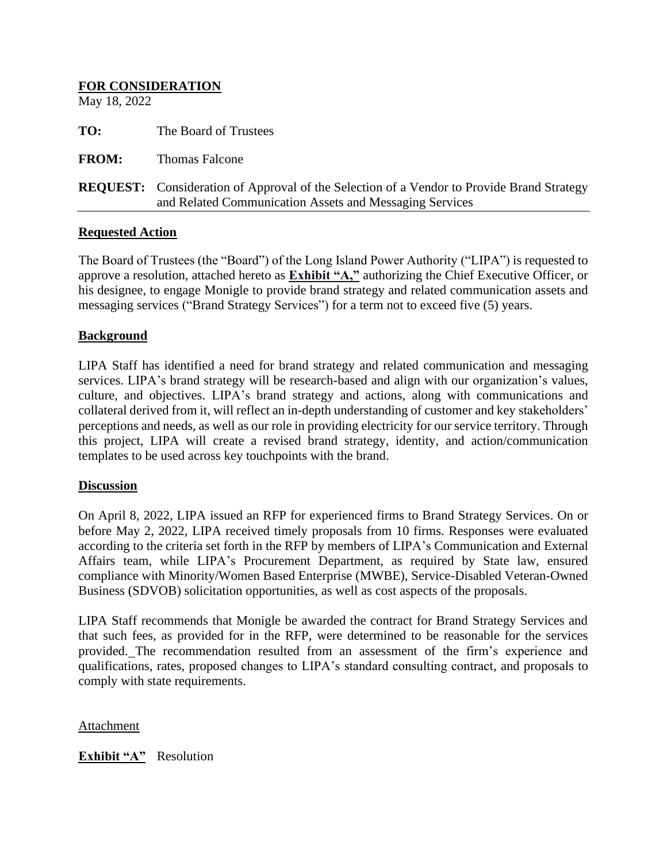# **FOR CONSIDERATION** May 18, 2022 **TO:** The Board of Trustees **FROM:** Thomas Falcone **REQUEST:** Consideration of Approval of the Selection of a Vendor to Provide Brand Strategy and Related Communication Assets and Messaging Services

### **Requested Action**

The Board of Trustees (the "Board") of the Long Island Power Authority ("LIPA") is requested to approve a resolution, attached hereto as **Exhibit "A,"** authorizing the Chief Executive Officer, or his designee, to engage Monigle to provide brand strategy and related communication assets and messaging services ("Brand Strategy Services") for a term not to exceed five (5) years.

### **Background**

LIPA Staff has identified a need for brand strategy and related communication and messaging services. LIPA's brand strategy will be research-based and align with our organization's values, culture, and objectives. LIPA's brand strategy and actions, along with communications and collateral derived from it, will reflect an in-depth understanding of customer and key stakeholders' perceptions and needs, as well as our role in providing electricity for our service territory. Through this project, LIPA will create a revised brand strategy, identity, and action/communication templates to be used across key touchpoints with the brand.

### **Discussion**

On April 8, 2022, LIPA issued an RFP for experienced firms to Brand Strategy Services. On or before May 2, 2022, LIPA received timely proposals from 10 firms. Responses were evaluated according to the criteria set forth in the RFP by members of LIPA's Communication and External Affairs team, while LIPA's Procurement Department, as required by State law, ensured compliance with Minority/Women Based Enterprise (MWBE), Service-Disabled Veteran-Owned Business (SDVOB) solicitation opportunities, as well as cost aspects of the proposals.

LIPA Staff recommends that Monigle be awarded the contract for Brand Strategy Services and that such fees, as provided for in the RFP, were determined to be reasonable for the services provided. The recommendation resulted from an assessment of the firm's experience and qualifications, rates, proposed changes to LIPA's standard consulting contract, and proposals to comply with state requirements.

Attachment

**Exhibit "A"** Resolution